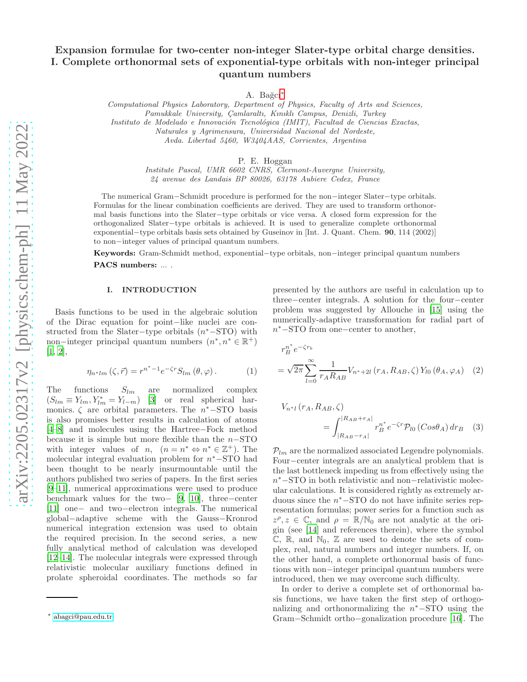# Expansion formulae for two-center non-integer Slater-type orbital charge densities. I. Complete orthonormal sets of exponential-type orbitals with non-integer principal quantum numbers

A. Bağcı<sup>\*</sup>

Computational Physics Laboratory, Department of Physics, Faculty of Arts and Sciences, Pamukkale University, Çamlaraltı, Kınıklı Campus, Denizli, Turkey Instituto de Modelado e Innovación Tecnológica (IMIT), Facultad de Ciencias Exactas, Naturales y Agrimensura, Universidad Nacional del Nordeste, Avda. Libertad 5460, W3404AAS, Corrientes, Argentina

P. E. Hoggan

Institute Pascal, UMR 6602 CNRS, Clermont-Auvergne University, 24 avenue des Landais BP 80026, 63178 Aubiere Cedex, France

The numerical Gram−Schmidt procedure is performed for the non−integer Slater−type orbitals. Formulas for the linear combination coefficients are derived. They are used to transform orthonormal basis functions into the Slater−type orbitals or vice versa. A closed form expression for the orthogonalized Slater−type orbitals is achieved. It is used to generalize complete orthonormal exponential−type orbitals basis sets obtained by Guseinov in [Int. J. Quant. Chem. 90, 114 (2002)] to non−integer values of principal quantum numbers.

Keywords: Gram-Schmidt method, exponential−type orbitals, non−integer principal quantum numbers PACS numbers: ... .

## I. INTRODUCTION

Basis functions to be used in the algebraic solution of the Dirac equation for point−like nuclei are constructed from the Slater-type orbitals  $(n^* - STO)$  with non-integer principal quantum numbers  $(n^*, n^* \in \mathbb{R}^+)$ [\[1,](#page-4-0) [2\]](#page-4-1),

$$
\eta_{n^*lm}(\zeta, \vec{r}) = r^{n^*-1} e^{-\zeta r} S_{lm}(\theta, \varphi).
$$
 (1)

The functions  $S_{lm}$  are normalized complex  $(S_{lm} \equiv Y_{lm}, Y_{lm}^* = Y_{l-m})$  [\[3\]](#page-4-2) or real spherical harmonics.  $\zeta$  are orbital parameters. The  $n^*$ −STO basis is also promises better results in calculation of atoms [\[4](#page-4-3)[–8\]](#page-4-4) and molecules using the Hartree−Fock method because it is simple but more flexible than the n−STO with integer values of n,  $(n = n^* \Leftrightarrow n^* \in \mathbb{Z}^+)$ . The molecular integral evaluation problem for  $n^*$ –STO had been thought to be nearly insurmountable until the authors published two series of papers. In the first series [\[9](#page-4-5)[–11\]](#page-4-6), numerical approximations were used to produce benchmark values for the two− [\[9,](#page-4-5) [10](#page-4-7)], three−center [\[11\]](#page-4-6) one− and two−electron integrals. The numerical global−adaptive scheme with the Gauss−Kronrod numerical integration extension was used to obtain the required precision. In the second series, a new fully analytical method of calculation was developed [\[12](#page-4-8)[–14\]](#page-4-9). The molecular integrals were expressed through relativistic molecular auxiliary functions defined in prolate spheroidal coordinates. The methods so far

presented by the authors are useful in calculation up to three−center integrals. A solution for the four−center problem was suggested by Allouche in [\[15\]](#page-4-10) using the numerically-adaptive transformation for radial part of n <sup>∗</sup>−STO from one−center to another,

$$
r_B^{n^*} e^{-\zeta r_b}
$$
  
=  $\sqrt{2\pi} \sum_{l=0}^{\infty} \frac{1}{r_A R_{AB}} V_{n^*+2l} (r_A, R_{AB}, \zeta) Y_{l0} (\theta_A, \varphi_A)$  (2)

$$
V_{n*1}(r_A, R_{AB}, \zeta)
$$
  
= 
$$
\int_{|R_{AB}-r_A|}^{|R_{AB}+r_A|} r_B^{n*} e^{-\zeta r} \mathcal{P}_{l0} (Cos\theta_A) dr_B
$$
 (3)

 $P_{lm}$  are the normalized associated Legendre polynomials. Four−center integrals are an analytical problem that is the last bottleneck impeding us from effectively using the n<sup>∗</sup>−STO in both relativistic and non−relativistic molecular calculations. It is considered rightly as extremely arduous since the  $n^*$ −STO do not have infinite series representation formulas; power series for a function such as  $z^{\rho}, z \in \mathbb{C}$ , and  $\rho = \mathbb{R}/\mathbb{N}_0$  are not analytic at the origin (see [\[14](#page-4-9)] and references therein), where the symbol  $\mathbb{C}, \mathbb{R},$  and  $\mathbb{N}_0, \mathbb{Z}$  are used to denote the sets of complex, real, natural numbers and integer numbers. If, on the other hand, a complete orthonormal basis of functions with non−integer principal quantum numbers were introduced, then we may overcome such difficulty.

In order to derive a complete set of orthonormal basis functions, we have taken the first step of orthogonalizing and orthonormalizing the  $n^*$ -STO using the Gram−Schmidt ortho−gonalization procedure [\[16\]](#page-4-11). The

<span id="page-0-0"></span><sup>∗</sup> [abagci@pau.edu.tr](mailto:abagci@pau.edu.tr)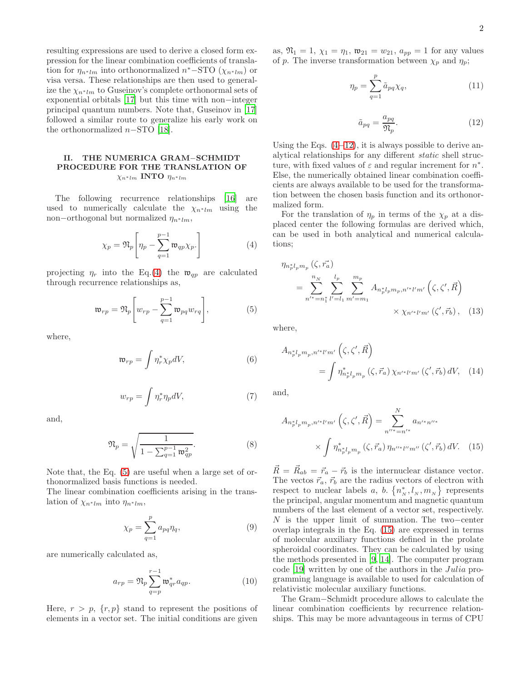resulting expressions are used to derive a closed form expression for the linear combination coefficients of translation for  $\eta_{n^*lm}$  into orthonormalized  $n^*$ -STO ( $\chi_{n^*lm}$ ) or visa versa. These relationships are then used to generalize the  $\chi_{n^*lm}$  to Guseinov's complete orthonormal sets of exponential orbitals [\[17](#page-4-12)] but this time with non−integer principal quantum numbers. Note that, Guseinov in [\[17](#page-4-12)] followed a similar route to generalize his early work on the orthonormalized  $n-\text{STO}$  [\[18\]](#page-4-13).

# II. THE NUMERICA GRAM−SCHMIDT PROCEDURE FOR THE TRANSLATION OF  $\chi_{n^*lm}$  INTO  $\eta_{n^*lm}$

The following recurrence relationships [\[16\]](#page-4-11) are used to numerically calculate the  $\chi_{n*lm}$  using the non–orthogonal but normalized  $\eta_{n*lm}$ ,

$$
\chi_p = \mathfrak{N}_p \left[ \eta_p - \sum_{q=1}^{p-1} \mathfrak{w}_{qp} \chi_p. \right] \tag{4}
$$

projecting  $\eta_r$  into the Eq.[\(4\)](#page-1-0) the  $\mathfrak{w}_{qp}$  are calculated through recurrence relationships as,

$$
\mathfrak{w}_{rp} = \mathfrak{N}_p \left[ w_{rp} - \sum_{q=1}^{p-1} \mathfrak{w}_{pq} w_{rq} \right],\tag{5}
$$

where,

$$
\mathfrak{w}_{rp} = \int \eta_r^* \chi_p dV,\tag{6}
$$

$$
w_{rp} = \int \eta_r^* \eta_p dV,\tag{7}
$$

and,

$$
\mathfrak{N}_p = \sqrt{\frac{1}{1 - \sum_{q=1}^{p-1} \mathfrak{w}_{qp}^2}}.
$$
 (8)

Note that, the Eq. [\(5\)](#page-1-1) are useful when a large set of orthonormalized basis functions is needed.

The linear combination coefficients arising in the translation of  $\chi_{n^*lm}$  into  $\eta_{n^*lm}$ ,

$$
\chi_p = \sum_{q=1}^p a_{pq} \eta_q,\tag{9}
$$

are numerically calculated as,

$$
a_{rp} = \mathfrak{N}_p \sum_{q=p}^{r-1} \mathfrak{w}_{qr}^* a_{qp}.
$$
 (10)

Here,  $r > p$ ,  $\{r, p\}$  stand to represent the positions of elements in a vector set. The initial conditions are given

as,  $\mathfrak{N}_1 = 1$ ,  $\chi_1 = \eta_1$ ,  $\mathfrak{w}_{21} = w_{21}$ ,  $a_{pp} = 1$  for any values of p. The inverse transformation between  $\chi_p$  and  $\eta_p$ ;

$$
\eta_p = \sum_{q=1}^p \tilde{a}_{pq} \chi_q,\tag{11}
$$

<span id="page-1-2"></span>
$$
\tilde{a}_{pq} = \frac{a_{pq}}{\mathfrak{N}_p}.\tag{12}
$$

Using the Eqs.  $(4-12)$  $(4-12)$ , it is always possible to derive analytical relationships for any different static shell structure, with fixed values of  $\varepsilon$  and regular increment for  $n^*$ . Else, the numerically obtained linear combination coefficients are always available to be used for the transformation between the chosen basis function and its orthonormalized form.

<span id="page-1-0"></span>For the translation of  $\eta_p$  in terms of the  $\chi_p$  at a displaced center the following formulas are derived which, can be used in both analytical and numerical calculations;

$$
\eta_{n_p^* l_p m_p}(\zeta, \vec{r_a})
$$
\n
$$
= \sum_{n'^* = n_1^*}^{n_N} \sum_{l' = l_1}^{l_p} \sum_{m' = m_1}^{m_p} A_{n_p^* l_p m_p, n'^* l' m'}(\zeta, \zeta', \vec{R})
$$
\n
$$
\times \chi_{n'^* l' m'}(\zeta', \vec{r_b}), \quad (13)
$$

<span id="page-1-1"></span>where,

<span id="page-1-4"></span>
$$
A_{n_p^*l_p m_p, n'^*l'm'} \left( \zeta, \zeta', \vec{R} \right)
$$
  
= 
$$
\int \eta_{n_p^*l_p m_p}^* \left( \zeta, \vec{r}_a \right) \chi_{n'^*l'm'} \left( \zeta', \vec{r}_b \right) dV, \quad (14)
$$

and,

<span id="page-1-3"></span>
$$
A_{n_p^*l_p m_p, n'^*l'm'}\left(\zeta, \zeta', \vec{R}\right) = \sum_{n''^* = n'^*}^{N} a_{n'^*n''^*}
$$

$$
\times \int \eta_{n_p^*l_p m_p}^*\left(\zeta, \vec{r}_a\right) \eta_{n''^*l''m''}\left(\zeta', \vec{r}_b\right) dV. \quad (15)
$$

 $\vec{R} = \vec{R}_{ab} = \vec{r}_a - \vec{r}_b$  is the internuclear distance vector. The vectors  $\vec{r}_a$ ,  $\vec{r}_b$  are the radius vectors of electron with respect to nuclear labels a, b.  $\{n_N^*, l_N, m_N\}$  represents the principal, angular momentum and magnetic quantum numbers of the last element of a vector set, respectively. N is the upper limit of summation. The two−center overlap integrals in the Eq. [\(15\)](#page-1-3) are expressed in terms of molecular auxiliary functions defined in the prolate spheroidal coordinates. They can be calculated by using the methods presented in [\[9,](#page-4-5) [14](#page-4-9)]. The computer program code [\[19\]](#page-4-14) written by one of the authors in the Julia programming language is available to used for calculation of relativistic molecular auxiliary functions.

The Gram−Schmidt procedure allows to calculate the linear combination coefficients by recurrence relationships. This may be more advantageous in terms of CPU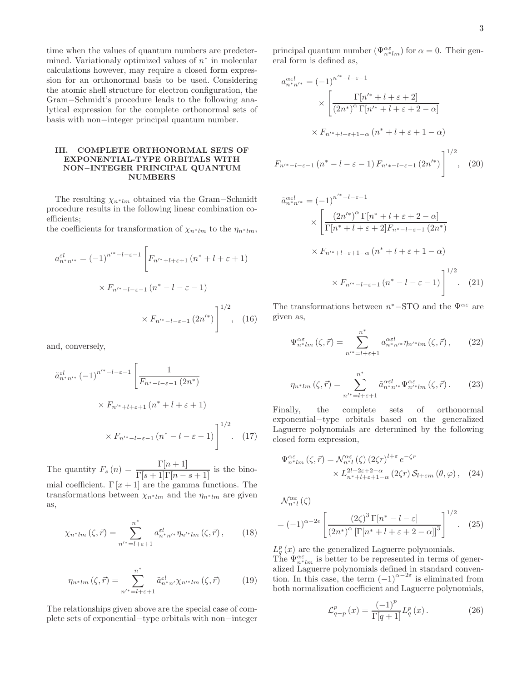time when the values of quantum numbers are predetermined. Variationaly optimized values of  $n^*$  in molecular calculations however, may require a closed form expression for an orthonormal basis to be used. Considering the atomic shell structure for electron configuration, the Gram−Schmidt's procedure leads to the following analytical expression for the complete orthonormal sets of basis with non−integer principal quantum number.

# III. COMPLETE ORTHONORMAL SETS OF EXPONENTIAL-TYPE ORBITALS WITH NON−INTEGER PRINCIPAL QUANTUM NUMBERS

The resulting  $\chi_{n^*lm}$  obtained via the Gram–Schmidt procedure results in the following linear combination coefficients;

the coefficients for transformation of  $\chi_{n^*lm}$  to the  $\eta_{n^*lm}$ ,

$$
a_{n*n'*}^{\varepsilon l} = (-1)^{n'^* - l - \varepsilon - 1} \left[ F_{n'^* + l + \varepsilon + 1} \left( n^* + l + \varepsilon + 1 \right) \right]
$$
  
 
$$
\times F_{n'^* - l - \varepsilon - 1} \left( n^* - l - \varepsilon - 1 \right)
$$
  
 
$$
\times F_{n'^* - l - \varepsilon - 1} \left( 2n'^* \right) \right]^{1/2}, \quad (16)
$$

and, conversely,

$$
\tilde{a}_{n^{*}n'^{*}}^{\varepsilon l} (-1)^{n'^{*}-l-\varepsilon-1} \left[ \frac{1}{F_{n^{*}-l-\varepsilon-1} (2n^{*})} \times F_{n'^{*}+l+\varepsilon+1} (n^{*}+l+\varepsilon+1) \right]
$$
\n
$$
\times F_{n'^{*}-l-\varepsilon-1} (n^{*}-l-\varepsilon-1) \right]^{1/2} . \quad (17)
$$

The quantity  $F_s(n) = \frac{\Gamma[n+1]}{\Gamma[s+1]\Gamma[n-s+1]}$  is the binomial coefficient.  $\Gamma[x+1]$  are the gamma functions. The transformations between  $\chi_{n*lm}$  and the  $\eta_{n*lm}$  are given as,

$$
\chi_{n^*lm}(\zeta,\vec{r}) = \sum_{n'^*=l+\varepsilon+1}^{n^*} a_{n^*n'^*}^{\varepsilon l} \eta_{n'^*lm}(\zeta,\vec{r}),\qquad(18)
$$

$$
\eta_{n^*lm}(\zeta,\vec{r}) = \sum_{n'^* = l+\varepsilon+1}^{n^*} \tilde{a}_{n^*n'}^{el} \chi_{n'^*lm}(\zeta,\vec{r}) \tag{19}
$$

The relationships given above are the special case of complete sets of exponential−type orbitals with non−integer

principal quantum number  $(\Psi_{n*lm}^{\alpha\varepsilon})$  for  $\alpha=0$ . Their general form is defined as,

$$
a_{n^*n'^*}^{\alpha \in l} = (-1)^{n'^* - l - \varepsilon - 1}
$$

$$
\times \left[ \frac{\Gamma[n'^* + l + \varepsilon + 2]}{(2n^*)^{\alpha} \Gamma[n'^* + l + \varepsilon + 2 - \alpha]} \right]
$$

$$
\times F_{n'^* + l + \varepsilon + 1 - \alpha} (n^* + l + \varepsilon + 1 - \alpha)
$$

$$
F_{n'^* - l - \varepsilon - 1} (n^* - l - \varepsilon - 1) F_{n' * - l - \varepsilon - 1} (2n'^*) \right]^{1/2}, \quad (20)
$$

$$
\tilde{a}_{n*n'*}^{\alpha\epsilon l} = (-1)^{n'^* - l - \epsilon - 1}
$$
\n
$$
\times \left[ \frac{(2n'^*)^{\alpha} \Gamma[n^* + l + \epsilon + 2 - \alpha]}{\Gamma[n^* + l + \epsilon + 2]F_{n^* - l - \epsilon - 1} (2n^*)} \right]
$$
\n
$$
\times F_{n'^* + l + \epsilon + 1 - \alpha} (n^* + l + \epsilon + 1 - \alpha)
$$
\n
$$
\times F_{n'^* - l - \epsilon - 1} (n^* - l - \epsilon - 1) \right]^{1/2} . \tag{21}
$$

The transformations between  $n^*$ –STO and the  $\Psi^{\alpha \varepsilon}$  are given as,

$$
\Psi_{n*lm}^{\alpha\varepsilon}(\zeta,\vec{r}) = \sum_{n'^*=l+\varepsilon+1}^{n^*} a_{n^*n'^*}^{\alpha\varepsilon l} \eta_{n'^*lm}(\zeta,\vec{r}),\qquad(22)
$$

$$
\eta_{n^*lm}(\zeta,\vec{r}) = \sum_{n'^*=l+\varepsilon+1}^{n^*} \tilde{a}_{n^*n'^*}^{\alpha\varepsilon l} \Psi_{n'^*lm}^{\alpha\varepsilon}(\zeta,\vec{r})\,. \tag{23}
$$

Finally, the complete sets of orthonormal exponential−type orbitals based on the generalized Laguerre polynomials are determined by the following closed form expression,

$$
\Psi_{n*lm}^{\alpha\varepsilon}(\zeta,\vec{r}) = \mathcal{N}_{n*1}^{\alpha\varepsilon}(\zeta) (2\zeta r)^{l+\varepsilon} e^{-\zeta r} \times L_{n*+l+\varepsilon+1-\alpha}^{2l+2\varepsilon+2-\alpha} (2\zeta r) \mathcal{S}_{l+\varepsilon m}(\theta,\varphi), \quad (24)
$$

$$
\mathcal{N}_{n^{*}l}^{\alpha\varepsilon}(\zeta)
$$
  
=  $(-1)^{\alpha-2\epsilon} \left[ \frac{(2\zeta)^3 \Gamma[n^* - l - \varepsilon]}{(2n^*)^{\alpha} \left[ \Gamma[n^* + l + \varepsilon + 2 - \alpha] \right]^3} \right]^{1/2}.$  (25)

 $L_q^p(x)$  are the generalized Laguerre polynomials.

The  $\Psi_{n*lm}^{\alpha\varepsilon}$  is better to be represented in terms of generalized Laguerre polynomials defined in standard convention. In this case, the term  $(-1)^{\alpha-2\varepsilon}$  is eliminated from both normalization coefficient and Laguerre polynomials,

$$
\mathcal{L}_{q-p}^{p}(x) = \frac{(-1)^{p}}{\Gamma[q+1]} L_{q}^{p}(x).
$$
 (26)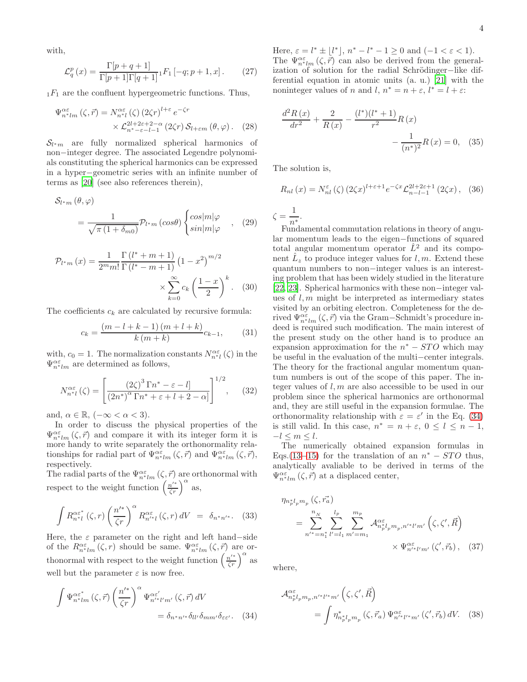with,

$$
\mathcal{L}_q^p(x) = \frac{\Gamma[p+q+1]}{\Gamma[p+1]\Gamma[q+1]} {}_1F_1[-q; p+1, x].
$$
 (27)

 $_1F_1$  are the confluent hypergeometric functions. Thus,

$$
\Psi_{n*lm}^{\alpha\varepsilon}(\zeta,\vec{r}) = N_{n*l}^{\alpha\varepsilon}(\zeta) (2\zeta r)^{l+\varepsilon} e^{-\zeta r} \times \mathcal{L}_{n*-\varepsilon-l-1}^{2l+2\varepsilon+2-\alpha} (2\zeta r) \mathcal{S}_{l+\varepsilon m}(\theta,\varphi).
$$
 (28)

 $S_{l^*m}$  are fully normalized spherical harmonics of non−integer degree. The associated Legendre polynomials constituting the spherical harmonics can be expressed in a hyper−geometric series with an infinite number of terms as [\[20\]](#page-4-15) (see also references therein),

$$
S_{l^*m}(\theta, \varphi)
$$
  
= 
$$
\frac{1}{\sqrt{\pi (1 + \delta_{m0})}} \mathcal{P}_{l^*m}(\cos \theta) \begin{cases} \cos |m|\varphi \\ \sin |m|\varphi \end{cases}
$$
, (29)

$$
\mathcal{P}_{l^*m}(x) = \frac{1}{2^m m!} \frac{\Gamma(l^* + m + 1)}{\Gamma(l^* - m + 1)} \left(1 - x^2\right)^{m/2} \times \sum_{k=0}^{\infty} c_k \left(\frac{1 - x}{2}\right)^k.
$$
 (30)

The coefficients  $c_k$  are calculated by recursive formula:

$$
c_k = \frac{(m-l+k-1)(m+l+k)}{k(m+k)}c_{k-1},
$$
 (31)

with,  $c_0 = 1$ . The normalization constants  $N_{n^*l}^{\alpha \varepsilon}(\zeta)$  in the  $\Psi_{n^*lm}^{\alpha\varepsilon}$  are determined as follows,

$$
N_{n*l}^{\alpha\varepsilon}(\zeta) = \left[ \frac{(2\zeta)^3 \Gamma n^* - \varepsilon - l]}{(2n^*)^{\alpha} \Gamma n^* + \varepsilon + l + 2 - \alpha} \right]^{1/2}, \quad (32)
$$

and,  $\alpha \in \mathbb{R}$ ,  $(-\infty < \alpha < 3)$ .

In order to discuss the physical properties of the  $\Psi^{\alpha\varepsilon}_{n*lm}\left(\zeta,\vec{r}\right)$  and compare it with its integer form it is more handy to write separately the orthonormality relationships for radial part of  $\Psi_{n*lm}^{\alpha\varepsilon}(\zeta,\vec{r})$  and  $\Psi_{n*lm}^{\alpha\varepsilon}(\zeta,\vec{r})$ , respectively.

The radial parts of the  $\Psi_{n*lm}^{\alpha\varepsilon}(\zeta,\vec{r})$  are orthonormal with respect to the weight function  $\left(\frac{n'^{*}}{\zeta r}\right)^{\alpha}$  as,

$$
\int R_{n^{*}l}^{\alpha \varepsilon^{*}}(\zeta,r) \left(\frac{n'^{*}}{\zeta r}\right)^{\alpha} R_{n'^{*}l}^{\alpha \varepsilon}(\zeta,r) dV = \delta_{n^{*}n'^{*}}.\tag{33}
$$

Here, the  $\varepsilon$  parameter on the right and left hand–side of the  $R_{n*lm}^{\alpha\varepsilon}(\zeta,r)$  should be same.  $\Psi_{n*lm}^{\alpha\varepsilon}(\zeta,\vec{r})$  are orthonormal with respect to the weight function  $\left(\frac{n'^{*}}{\zeta r}\right)^{\alpha}$  as well but the parameter  $\varepsilon$  is now free.

$$
\int \Psi_{n^*lm}^{\alpha \varepsilon^*} (\zeta, \vec{r}) \left( \frac{n'^*}{\zeta r} \right)^{\alpha} \Psi_{n'^*l'm'}^{\alpha \varepsilon'} (\zeta, \vec{r}) dV
$$

$$
= \delta_{n^*n'^*} \delta_{ll'} \delta_{mm'} \delta_{\varepsilon \varepsilon'}. \quad (34)
$$

Here,  $\varepsilon = l^* \pm \lfloor l^* \rfloor$ ,  $n^* - l^* - 1 \ge 0$  and  $(-1 < \varepsilon < 1)$ . The  $\Psi_{n^*lm}^{\alpha\varepsilon}(\zeta,\vec{r})$  can also be derived from the generalization of solution for the radial Schrödinger−like differential equation in atomic units (a. u.) [\[21\]](#page-4-16) with the noninteger values of n and l,  $n^* = n + \varepsilon$ ,  $l^* = l + \varepsilon$ :

$$
\frac{d^{2}R(x)}{dr^{2}} + \frac{2}{R(x)} - \frac{(l^{*})(l^{*} + 1)}{r^{2}}R(x) - \frac{1}{(n^{*})^{2}}R(x) = 0, \quad (35)
$$

The solution is,

$$
R_{nl}(x) = N_{nl}^{\varepsilon}(\zeta) \left(2\zeta x\right)^{l+\varepsilon+1} e^{-\zeta x} \mathcal{L}_{n-l-1}^{2l+2\varepsilon+1} \left(2\zeta x\right), \tag{36}
$$

 $\zeta = \frac{1}{\zeta}$  $\frac{1}{n^*}$ .

Fundamental commutation relations in theory of angular momentum leads to the eigen−functions of squared total angular momentum operator  $\hat{L}^2$  and its component  $\hat{L}_z$  to produce integer values for  $l, m$ . Extend these quantum numbers to non−integer values is an interesting problem that has been widely studied in the literature [\[22,](#page-4-17) [23\]](#page-4-18). Spherical harmonics with these non−integer values of  $l, m$  might be interpreted as intermediary states visited by an orbiting electron. Completeness for the derived  $\Psi_{n*lm}^{\alpha\varepsilon}(\zeta,\vec{r})$  via the Gram–Schmidt's procedure indeed is required such modification. The main interest of the present study on the other hand is to produce an expansion approximation for the  $n^* - STO$  which may be useful in the evaluation of the multi−center integrals. The theory for the fractional angular momentum quantum numbers is out of the scope of this paper. The integer values of  $l, m$  are also accessible to be used in our problem since the spherical harmonics are orthonormal and, they are still useful in the expansion formulae. The orthonormality relationship with  $\varepsilon = \varepsilon'$  in the Eq. [\(34\)](#page-3-0) is still valid. In this case,  $n^* = n + \varepsilon$ ,  $0 \le l \le n - 1$ ,  $-l \leq m \leq l$ .

The numerically obtained expansion formulas in Eqs.[\(13](#page-1-4)–[15\)](#page-1-3) for the translation of an  $n^* - STO$  thus, analytically avaliable to be derived in terms of the  $\Psi_{n*lm}^{\alpha\varepsilon}\left(\zeta,\vec{r}\right)$  at a displaced center,

$$
\eta_{n_p^* l_p m_p}(\zeta, \vec{r_a})
$$
\n
$$
= \sum_{n'^* = n_1^*}^{n_N} \sum_{l' = l_1}^{l_p} \sum_{m' = m_1}^{m_p} \mathcal{A}_{n_p^* l_p m_p, n'^* l' m'}^{\alpha \varepsilon} (\zeta, \zeta', \vec{R})
$$
\n
$$
\times \Psi_{n'^* l' m'}^{\alpha \varepsilon}(\zeta', \vec{r_b}), \quad (37)
$$

where,

<span id="page-3-0"></span>
$$
\mathcal{A}_{n_p^* l_p m_p, n'^* l'^* m'}^{\alpha \varepsilon} \left( \zeta, \zeta', \vec{R} \right)
$$
  
= 
$$
\int \eta_{n_p^* l_p m_p}^* \left( \zeta, \vec{r}_a \right) \Psi_{n'^* l'^* m'}^{\alpha \varepsilon} \left( \zeta', \vec{r}_b \right) dV. \quad (38)
$$